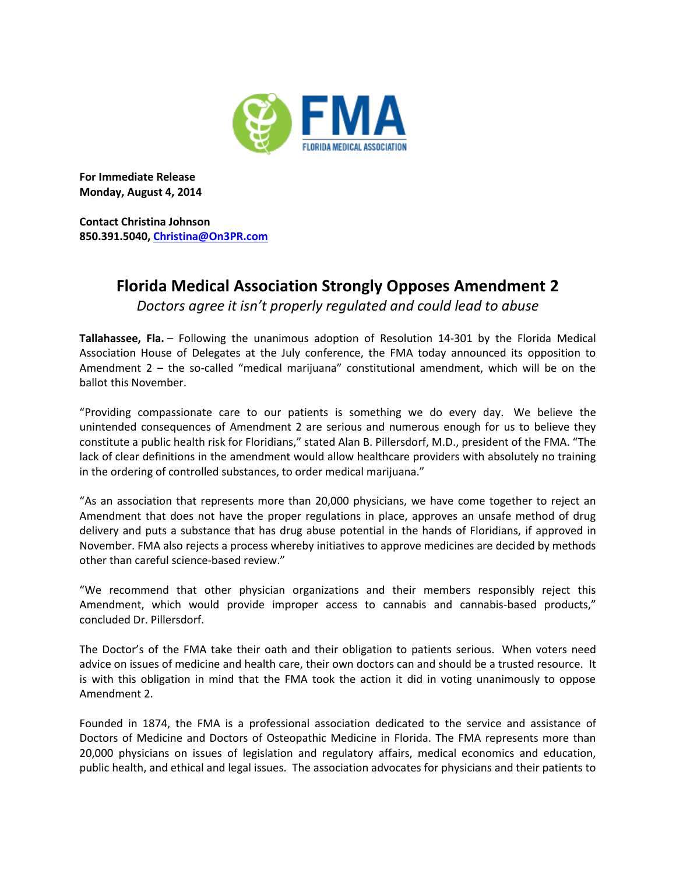

**For Immediate Release Monday, August 4, 2014**

**Contact Christina Johnson 850.391.5040, [Christina@On3PR.com](mailto:Christina@On3PR.com)**

## **Florida Medical Association Strongly Opposes Amendment 2**

*Doctors agree it isn't properly regulated and could lead to abuse*

**Tallahassee, Fla.** – Following the unanimous adoption of Resolution 14-301 by the Florida Medical Association House of Delegates at the July conference, the FMA today announced its opposition to Amendment 2 – the so-called "medical marijuana" constitutional amendment, which will be on the ballot this November.

"Providing compassionate care to our patients is something we do every day. We believe the unintended consequences of Amendment 2 are serious and numerous enough for us to believe they constitute a public health risk for Floridians," stated Alan B. Pillersdorf, M.D., president of the FMA. "The lack of clear definitions in the amendment would allow healthcare providers with absolutely no training in the ordering of controlled substances, to order medical marijuana."

"As an association that represents more than 20,000 physicians, we have come together to reject an Amendment that does not have the proper regulations in place, approves an unsafe method of drug delivery and puts a substance that has drug abuse potential in the hands of Floridians, if approved in November. FMA also rejects a process whereby initiatives to approve medicines are decided by methods other than careful science-based review."

"We recommend that other physician organizations and their members responsibly reject this Amendment, which would provide improper access to cannabis and cannabis-based products," concluded Dr. Pillersdorf.

The Doctor's of the FMA take their oath and their obligation to patients serious. When voters need advice on issues of medicine and health care, their own doctors can and should be a trusted resource. It is with this obligation in mind that the FMA took the action it did in voting unanimously to oppose Amendment 2.

Founded in 1874, the FMA is a professional association dedicated to the service and assistance of Doctors of Medicine and Doctors of Osteopathic Medicine in Florida. The FMA represents more than 20,000 physicians on issues of legislation and regulatory affairs, medical economics and education, public health, and ethical and legal issues. The association advocates for physicians and their patients to